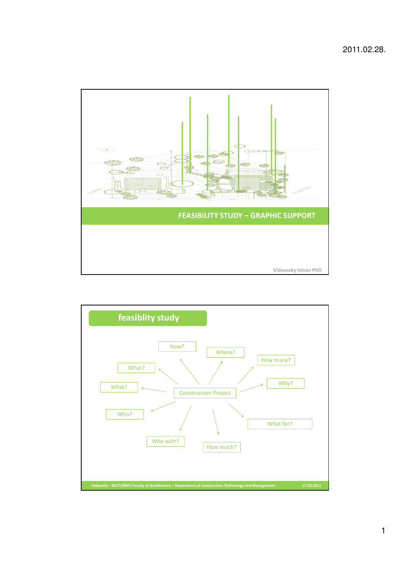

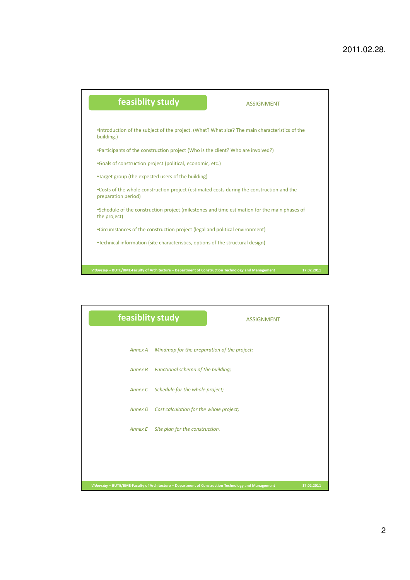

|         | feasiblity study                                                                                    | <b>ASSIGNMENT</b> |            |
|---------|-----------------------------------------------------------------------------------------------------|-------------------|------------|
| Annex A | Mindmap for the preparation of the project;                                                         |                   |            |
| Annex B | Functional schema of the building;                                                                  |                   |            |
|         | Annex C Schedule for the whole project;                                                             |                   |            |
|         | Annex D Cost calculation for the whole project;                                                     |                   |            |
| Annex E | Site plan for the construction.                                                                     |                   |            |
|         |                                                                                                     |                   |            |
|         |                                                                                                     |                   |            |
|         | Vidovszky - BUTE/BME-Faculty of Architecture - Department of Construction Technology and Management |                   | 17.02.2011 |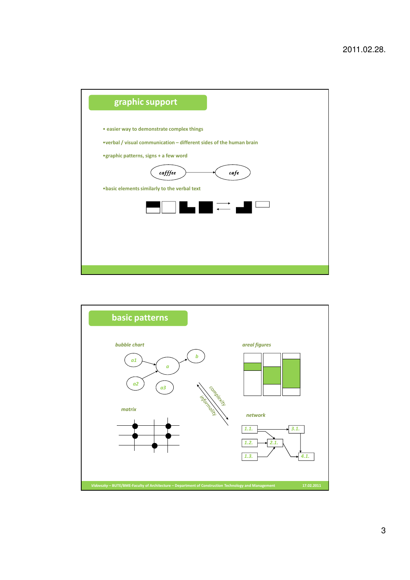

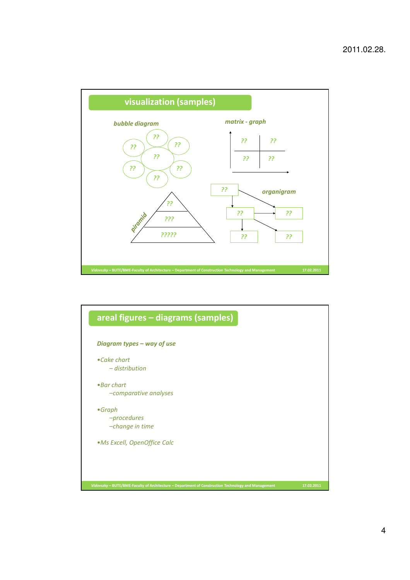

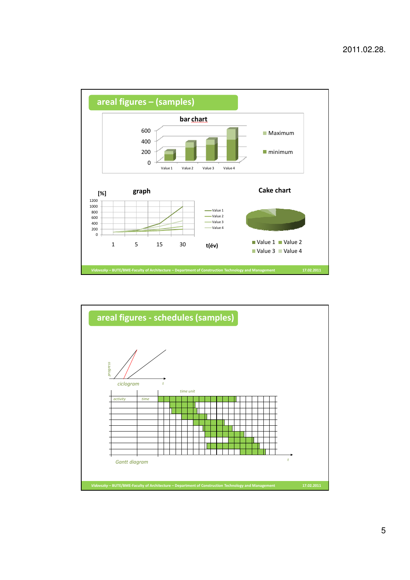

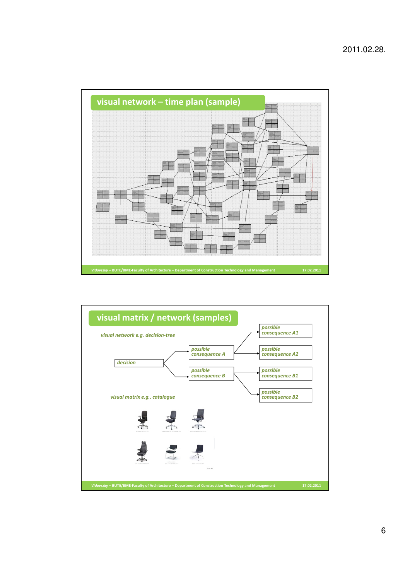

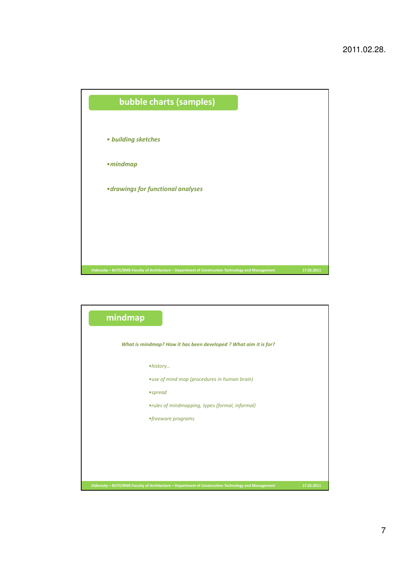

| mindmap                                                                                             |            |  |  |  |  |
|-----------------------------------------------------------------------------------------------------|------------|--|--|--|--|
| What is mindmap? How it has been developed ? What aim it is for?                                    |            |  |  |  |  |
| • history                                                                                           |            |  |  |  |  |
| • use of mind map (procedures in human brain)                                                       |            |  |  |  |  |
| $•$ spread                                                                                          |            |  |  |  |  |
| •rules of mindmapping, types (formal, informal)                                                     |            |  |  |  |  |
| • freeware programs                                                                                 |            |  |  |  |  |
|                                                                                                     |            |  |  |  |  |
|                                                                                                     |            |  |  |  |  |
|                                                                                                     |            |  |  |  |  |
|                                                                                                     |            |  |  |  |  |
| Vidovszky - BUTE/BME-Faculty of Architecture - Department of Construction Technology and Management | 17.02.2011 |  |  |  |  |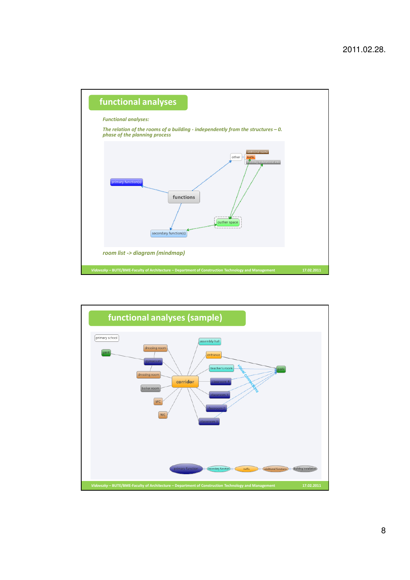